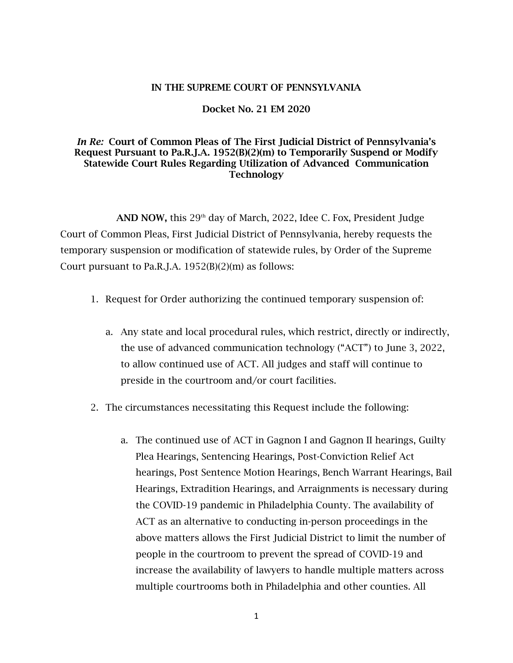## IN THE SUPREME COURT OF PENNSYLVANIA

## Docket No. 21 EM 2020

## *In Re:* Court of Common Pleas of The First Judicial District of Pennsylvania's Request Pursuant to Pa.R.J.A. 1952(B)(2)(m) to Temporarily Suspend or Modify Statewide Court Rules Regarding Utilization of Advanced Communication **Technology**

AND NOW, this  $29<sup>th</sup>$  day of March, 2022, Idee C. Fox, President Judge Court of Common Pleas, First Judicial District of Pennsylvania, hereby requests the temporary suspension or modification of statewide rules, by Order of the Supreme Court pursuant to Pa.R.J.A.  $1952(B)(2)(m)$  as follows:

- 1. Request for Order authorizing the continued temporary suspension of:
	- a. Any state and local procedural rules, which restrict, directly or indirectly, the use of advanced communication technology ("ACT") to June 3, 2022, to allow continued use of ACT. All judges and staff will continue to preside in the courtroom and/or court facilities.
- 2. The circumstances necessitating this Request include the following:
	- a. The continued use of ACT in Gagnon I and Gagnon II hearings, Guilty Plea Hearings, Sentencing Hearings, Post-Conviction Relief Act hearings, Post Sentence Motion Hearings, Bench Warrant Hearings, Bail Hearings, Extradition Hearings, and Arraignments is necessary during the COVID-19 pandemic in Philadelphia County. The availability of ACT as an alternative to conducting in-person proceedings in the above matters allows the First Judicial District to limit the number of people in the courtroom to prevent the spread of COVID-19 and increase the availability of lawyers to handle multiple matters across multiple courtrooms both in Philadelphia and other counties. All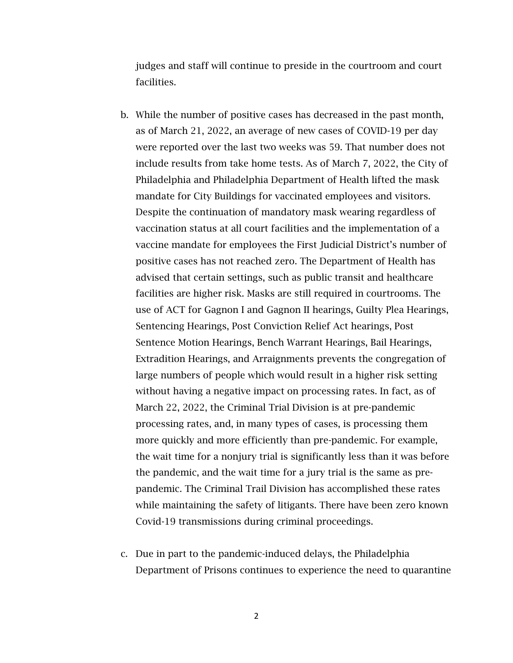judges and staff will continue to preside in the courtroom and court facilities.

- b. While the number of positive cases has decreased in the past month, as of March 21, 2022, an average of new cases of COVID-19 per day were reported over the last two weeks was 59. That number does not include results from take home tests. As of March 7, 2022, the City of Philadelphia and Philadelphia Department of Health lifted the mask mandate for City Buildings for vaccinated employees and visitors. Despite the continuation of mandatory mask wearing regardless of vaccination status at all court facilities and the implementation of a vaccine mandate for employees the First Judicial District's number of positive cases has not reached zero. The Department of Health has advised that certain settings, such as public transit and healthcare facilities are higher risk. Masks are still required in courtrooms. The use of ACT for Gagnon I and Gagnon II hearings, Guilty Plea Hearings, Sentencing Hearings, Post Conviction Relief Act hearings, Post Sentence Motion Hearings, Bench Warrant Hearings, Bail Hearings, Extradition Hearings, and Arraignments prevents the congregation of large numbers of people which would result in a higher risk setting without having a negative impact on processing rates. In fact, as of March 22, 2022, the Criminal Trial Division is at pre-pandemic processing rates, and, in many types of cases, is processing them more quickly and more efficiently than pre-pandemic. For example, the wait time for a nonjury trial is significantly less than it was before the pandemic, and the wait time for a jury trial is the same as prepandemic. The Criminal Trail Division has accomplished these rates while maintaining the safety of litigants. There have been zero known Covid-19 transmissions during criminal proceedings.
- c. Due in part to the pandemic-induced delays, the Philadelphia Department of Prisons continues to experience the need to quarantine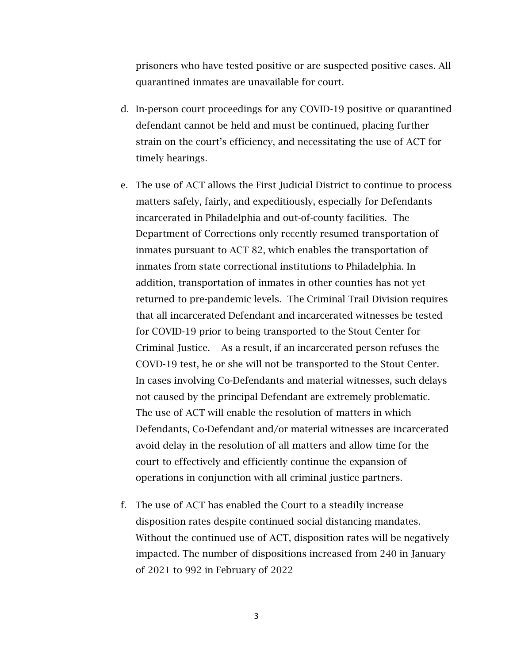prisoners who have tested positive or are suspected positive cases. All quarantined inmates are unavailable for court.

- d. In-person court proceedings for any COVID-19 positive or quarantined defendant cannot be held and must be continued, placing further strain on the court's efficiency, and necessitating the use of ACT for timely hearings.
- e. The use of ACT allows the First Judicial District to continue to process matters safely, fairly, and expeditiously, especially for Defendants incarcerated in Philadelphia and out-of-county facilities. The Department of Corrections only recently resumed transportation of inmates pursuant to ACT 82, which enables the transportation of inmates from state correctional institutions to Philadelphia. In addition, transportation of inmates in other counties has not yet returned to pre-pandemic levels. The Criminal Trail Division requires that all incarcerated Defendant and incarcerated witnesses be tested for COVID-19 prior to being transported to the Stout Center for Criminal Justice. As a result, if an incarcerated person refuses the COVD-19 test, he or she will not be transported to the Stout Center. In cases involving Co-Defendants and material witnesses, such delays not caused by the principal Defendant are extremely problematic. The use of ACT will enable the resolution of matters in which Defendants, Co-Defendant and/or material witnesses are incarcerated avoid delay in the resolution of all matters and allow time for the court to effectively and efficiently continue the expansion of operations in conjunction with all criminal justice partners.
- f. The use of ACT has enabled the Court to a steadily increase disposition rates despite continued social distancing mandates. Without the continued use of ACT, disposition rates will be negatively impacted. The number of dispositions increased from 240 in January of 2021 to 992 in February of 2022

3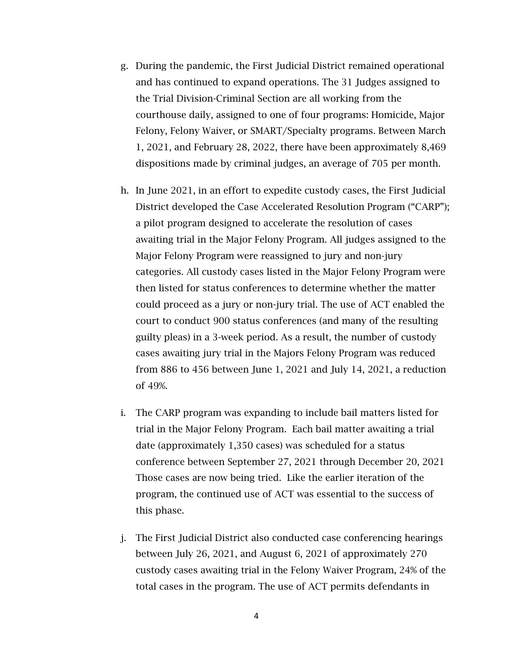- g. During the pandemic, the First Judicial District remained operational and has continued to expand operations. The 31 Judges assigned to the Trial Division-Criminal Section are all working from the courthouse daily, assigned to one of four programs: Homicide, Major Felony, Felony Waiver, or SMART/Specialty programs. Between March 1, 2021, and February 28, 2022, there have been approximately 8,469 dispositions made by criminal judges, an average of 705 per month.
- h. In June 2021, in an effort to expedite custody cases, the First Judicial District developed the Case Accelerated Resolution Program ("CARP"); a pilot program designed to accelerate the resolution of cases awaiting trial in the Major Felony Program. All judges assigned to the Major Felony Program were reassigned to jury and non-jury categories. All custody cases listed in the Major Felony Program were then listed for status conferences to determine whether the matter could proceed as a jury or non-jury trial. The use of ACT enabled the court to conduct 900 status conferences (and many of the resulting guilty pleas) in a 3-week period. As a result, the number of custody cases awaiting jury trial in the Majors Felony Program was reduced from 886 to 456 between June 1, 2021 and July 14, 2021, a reduction of 49%.
- i. The CARP program was expanding to include bail matters listed for trial in the Major Felony Program. Each bail matter awaiting a trial date (approximately 1,350 cases) was scheduled for a status conference between September 27, 2021 through December 20, 2021 Those cases are now being tried. Like the earlier iteration of the program, the continued use of ACT was essential to the success of this phase.
- j. The First Judicial District also conducted case conferencing hearings between July 26, 2021, and August 6, 2021 of approximately 270 custody cases awaiting trial in the Felony Waiver Program, 24% of the total cases in the program. The use of ACT permits defendants in

4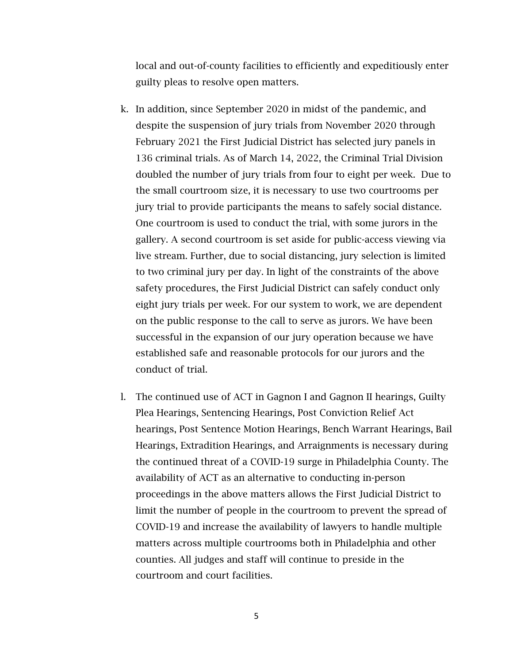local and out-of-county facilities to efficiently and expeditiously enter guilty pleas to resolve open matters.

- k. In addition, since September 2020 in midst of the pandemic, and despite the suspension of jury trials from November 2020 through February 2021 the First Judicial District has selected jury panels in 136 criminal trials. As of March 14, 2022, the Criminal Trial Division doubled the number of jury trials from four to eight per week. Due to the small courtroom size, it is necessary to use two courtrooms per jury trial to provide participants the means to safely social distance. One courtroom is used to conduct the trial, with some jurors in the gallery. A second courtroom is set aside for public-access viewing via live stream. Further, due to social distancing, jury selection is limited to two criminal jury per day. In light of the constraints of the above safety procedures, the First Judicial District can safely conduct only eight jury trials per week. For our system to work, we are dependent on the public response to the call to serve as jurors. We have been successful in the expansion of our jury operation because we have established safe and reasonable protocols for our jurors and the conduct of trial.
- l. The continued use of ACT in Gagnon I and Gagnon II hearings, Guilty Plea Hearings, Sentencing Hearings, Post Conviction Relief Act hearings, Post Sentence Motion Hearings, Bench Warrant Hearings, Bail Hearings, Extradition Hearings, and Arraignments is necessary during the continued threat of a COVID-19 surge in Philadelphia County. The availability of ACT as an alternative to conducting in-person proceedings in the above matters allows the First Judicial District to limit the number of people in the courtroom to prevent the spread of COVID-19 and increase the availability of lawyers to handle multiple matters across multiple courtrooms both in Philadelphia and other counties. All judges and staff will continue to preside in the courtroom and court facilities.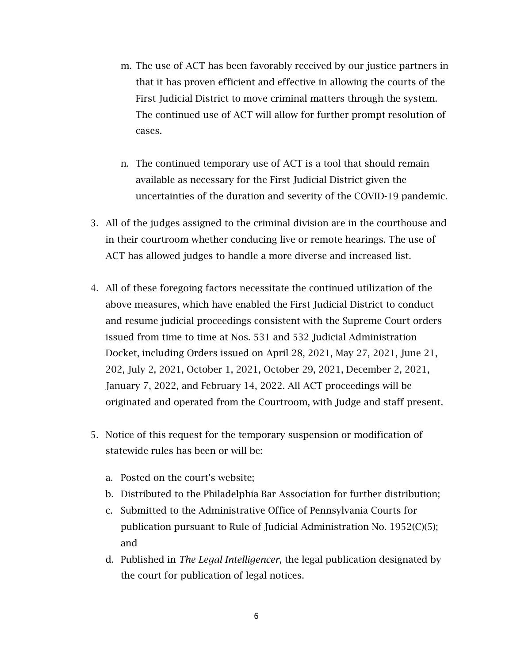- m. The use of ACT has been favorably received by our justice partners in that it has proven efficient and effective in allowing the courts of the First Judicial District to move criminal matters through the system. The continued use of ACT will allow for further prompt resolution of cases.
- n. The continued temporary use of ACT is a tool that should remain available as necessary for the First Judicial District given the uncertainties of the duration and severity of the COVID-19 pandemic.
- 3. All of the judges assigned to the criminal division are in the courthouse and in their courtroom whether conducing live or remote hearings. The use of ACT has allowed judges to handle a more diverse and increased list.
- 4. All of these foregoing factors necessitate the continued utilization of the above measures, which have enabled the First Judicial District to conduct and resume judicial proceedings consistent with the Supreme Court orders issued from time to time at Nos. 531 and 532 Judicial Administration Docket, including Orders issued on April 28, 2021, May 27, 2021, June 21, 202, July 2, 2021, October 1, 2021, October 29, 2021, December 2, 2021, January 7, 2022, and February 14, 2022. All ACT proceedings will be originated and operated from the Courtroom, with Judge and staff present.
- 5. Notice of this request for the temporary suspension or modification of statewide rules has been or will be:
	- a. Posted on the court's website;
	- b. Distributed to the Philadelphia Bar Association for further distribution;
	- c. Submitted to the Administrative Office of Pennsylvania Courts for publication pursuant to Rule of Judicial Administration No. 1952(C)(5); and
	- d. Published in *The Legal Intelligencer*, the legal publication designated by the court for publication of legal notices.